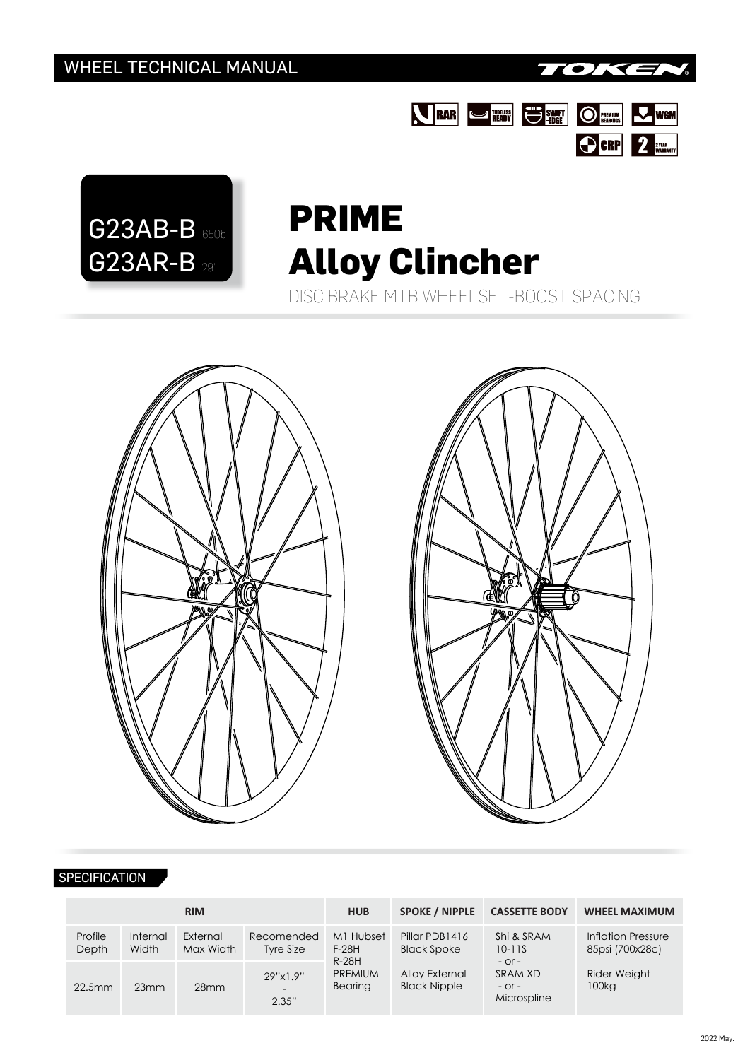





## **PRIME Alloy Clincher**

DISC BRAKE MTB WHEELSET-BOOST SPACING





## **SPECIFICATION**

|                  |                          | <b>RIM</b>            |                                               | <b>HUB</b>                       | <b>SPOKE / NIPPLE</b>                                                         | <b>CASSETTE BODY</b>                                                           | <b>WHEEL MAXIMUM</b>                  |  |
|------------------|--------------------------|-----------------------|-----------------------------------------------|----------------------------------|-------------------------------------------------------------------------------|--------------------------------------------------------------------------------|---------------------------------------|--|
| Profile<br>Depth | <b>Internal</b><br>Width | External<br>Max Width | Recomended<br>Tyre Size                       | M1 Hubset<br>$F-28H$<br>$R-28H$  | Pillar PDB1416<br><b>Black Spoke</b><br>Alloy External<br><b>Black Nipple</b> | Shi & SRAM<br>$10 - 11S$<br>$-$ Or $-$<br>SRAM XD<br>$-$ Or $-$<br>Microspline | Inflation Pressure<br>85psi (700x28c) |  |
| 22.5mm           | 23mm                     | 28 <sub>mm</sub>      | 29"x1.9"<br>$\overline{\phantom{a}}$<br>2.35" | <b>PREMIUM</b><br><b>Bearing</b> |                                                                               |                                                                                | Rider Weight<br>100 <sub>kg</sub>     |  |